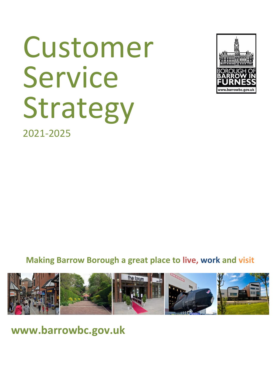# Customer Service Strategy



2021-2025

**Making Barrow Borough a great place to live, work and visit**



**[www.barrowbc.gov.uk](http://www.barrowbc.gov.uk/)**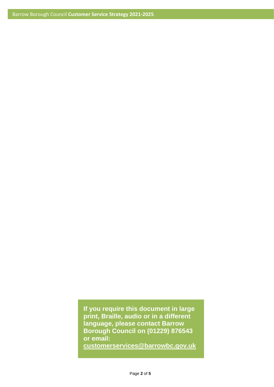**If you require this document in large print, Braille, audio or in a different language, please contact Barrow Borough Council on (01229) 876543 or email:** 

**[customerservices@barrowbc.gov.uk](mailto:customerservices@barrowbc.gov.uk)**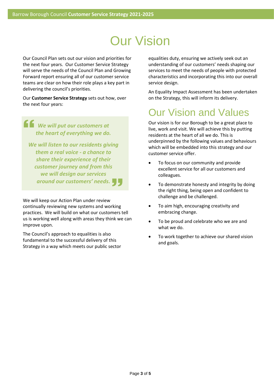## Our Vision

Our Council Plan sets out our vision and priorities for the next four years. Our Customer Service Strategy will serve the needs of the Council Plan and Growing Forward report ensuring all of our customer service teams are clear on how their role plays a key part in delivering the council's priorities.

Our **Customer Service Strategy** sets out how, over the next four years:

#### *We will put our customers at the heart of everything we do.*   $\epsilon$

*We will listen to our residents giving them a real voice - a chance to share their experience of their customer journey and from this we will design our services around our customers' needs***.**

We will keep our Action Plan under review continually reviewing new systems and working practices. We will build on what our customers tell us is working well along with areas they think we can improve upon.

The Council's approach to equalities is also fundamental to the successful delivery of this Strategy in a way which meets our public sector equalities duty, ensuring we actively seek out an understanding of our customers' needs shaping our services to meet the needs of people with protected characteristics and incorporating this into our overall service design.

An Equality Impact Assessment has been undertaken on the Strategy, this will inform its delivery.

## Our Vision and Values

Our vision is for our Borough to be a great place to live, work and visit. We will achieve this by putting residents at the heart of all we do. This is underpinned by the following values and behaviours which will be embedded into this strategy and our customer service offer.

- To focus on our community and provide excellent service for all our customers and colleagues.
- To demonstrate honesty and integrity by doing the right thing, being open and confident to challenge and be challenged.
- To aim high, encouraging creativity and embracing change.
- To be proud and celebrate who we are and what we do.
- To work together to achieve our shared vision and goals.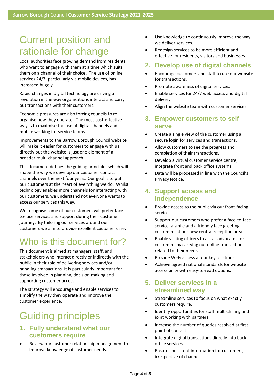## Current position and rationale for change

Local authorities face growing demand from residents who want to engage with them at a time which suits them on a channel of their choice. The use of online services 24/7, particularly via mobile devices, has increased hugely.

Rapid changes in digital technology are driving a revolution in the way organisations interact and carry out transactions with their customers.

Economic pressures are also forcing councils to reorganise how they operate. The most cost-effective way is to maximise the use of digital channels and mobile working for service teams.

Improvements to the Barrow Borough Council website will make it easier for customers to engage with us directly but the website is just one element of a broader multi-channel approach.

This document defines the guiding principles which will shape the way we develop our customer contact channels over the next four years. Our goal is to put our customers at the heart of everything we do. Whilst technology enables more channels for interacting with our customers, we understand not everyone wants to access our services this way.

We recognise some of our customers will prefer faceto-face services and support during their customer journey. By tailoring our services around our customers we aim to provide excellent customer care.

### Who is this document for?

This document is aimed at managers, staff, and stakeholders who interact directly or indirectly with the public in their role of delivering services and/or handling transactions. It is particularly important for those involved in planning, decision-making and supporting customer access.

The strategy will encourage and enable services to simplify the way they operate and improve the customer experience.

## Guiding principles

#### **1. Fully understand what our customers require**

• Review our customer relationship management to improve knowledge of customer needs.

- Use knowledge to continuously improve the way we deliver services.
- Redesign services to be more efficient and effective for residents, visitors and businesses.
- **2. Develop use of digital channels**
- Encourage customers and staff to use our website for transactions.
- Promote awareness of digital services.
- Enable services for 24/7 web access and digital delivery.
- Align the website team with customer services.
- **3. Empower customers to selfserve**
- Create a single view of the customer using a secure login for services and transactions.
- Allow customers to see the progress and completion of their transactions.
- Develop a virtual customer service centre; integrate front and back office systems.
- Data will be processed in line with the Council's Privacy Notice.

#### **4. Support access and independence**

- Provide access to the public via our front-facing services.
- Support our customers who prefer a face-to-face service, a smile and a friendly face greeting customers at our new central reception area.
- Enable visiting officers to act as advocates for customers by carrying out online transactions related to their needs.
- Provide Wi-Fi access at our key locations.
- Achieve agreed national standards for website accessibility with easy-to-read options.

#### **5. Deliver services in a streamlined way**

- Streamline services to focus on what exactly customers require.
- Identify opportunities for staff multi-skilling and joint working with partners.
- Increase the number of queries resolved at first point of contact.
- Integrate digital transactions directly into back office services.
- Ensure consistent information for customers, irrespective of channel.